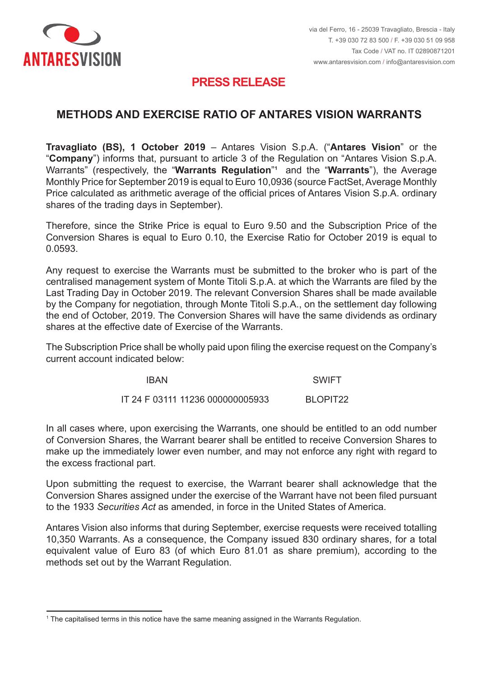

## **PRESS RELEASE PRESS RELEASE**

## **MODALITA' E RAPPORTO DI ESERCIZIO DEI WARRANT ANTARES METHODS AND EXERCISE RATIO OF ANTARES VISION WARRANTS**

**Travagliato (BS), 1 ottobre 2019** – Antares Vision S.p.A. ("**Antares Vision**" o la "**Company**") informs that, pursuant to article 3 of the Regulation on "Antares Vision S.p.A.  $W$ arrants" (respectively, the "**Warrants Regulation**"1 and the "**Warrants**"), the Average Monthly Price for September 2019 is equal to Euro 10,0936 (source FactSet, Average Monthly Price calculated as arithmetic average of the official prices of Antares Vision S.p.A. ordinary shares of the trading days in September).  $\;$ **Travagliato (BS), 1 October 2019** – Antares Vision S.p.A. ("**Antares Vision**" or the

Antares Vision S.p.A. dei giorni di borsa aperti nel mese di settembre). Conversion Shares is equal to Euro 0.10, the Exercise Ratio for October 2019 is equal to  $0.0593$ . Therefore, since the Strike Price is equal to Euro 9.50 and the Subscription Price of the 0.0593.

0,0593. centralised management system of Monte Titoli S.p.A. at which the Warrants are filed by the Last Trading Day in October 2019. The relevant Conversion Shares shall be made available by the Company for negotiation, through Monte Titoli S.p.A., on the settlement day following the end of October, 2019. The Conversion Shares will have the same dividends as ordinary shares at the effective date of Exercise of the Warrants. Any request to exercise the Warrants must be submitted to the broker who is part of the

compendio avranno godimento pari a quello delle azioni ordinarie alla data di efficacia The Subscription Price shall be wholly paid upon filing the exercise request on the Company's current account indicated below:

| <b>IBAN</b>                      | <b>SWIFT</b> |
|----------------------------------|--------------|
| IT 24 F 03111 11236 000000005933 | BLOPIT22     |

In all cases where, upon exercising the Warrants, one should be entitled to an odd number make up the immediately lower even number, and may not enforce any right with regard to the excess fractional part.  $\overline{\phantom{a}}$  are all alla  $\overline{\phantom{a}}$  and  $\overline{\phantom{a}}$  are alla  $\overline{\phantom{a}}$  and  $\overline{\phantom{a}}$  are alla  $\overline{\phantom{a}}$  and  $\overline{\phantom{a}}$  are alla  $\overline{\phantom{a}}$  and  $\overline{\phantom{a}}$  are alla  $\overline{\phantom{a}}$  and  $\overline$ of Conversion Shares, the Warrant bearer shall be entitled to receive Conversion Shares to

concorrenza del numero intero immediatamente inferiore e non potrà far valere alcun diritto Upon submitting the request to exercise, the Warrant bearer shall acknowledge that the to the 1933 *Securities Act* as amended, in force in the United States of America. Conversion Shares assigned under the exercise of the Warrant have not been filed pursuant

che le Azioni di Compendio assegnate in esercizio dei Warrant non sono state registrate ai Antares Vision also informs that during September, exercise requests were received totalling equivalent value of Euro 83 (of which Euro 81.01 as share premium), according to the methods set out by the Warrant Regulation.  $\blacksquare$ 10,350 Warrants. As a consequence, the Company issued 830 ordinary shares, for a total

 $^{\rm 1}$  The capitalised terms in this notice have the same meaning assigned in the Warrants Regulation.